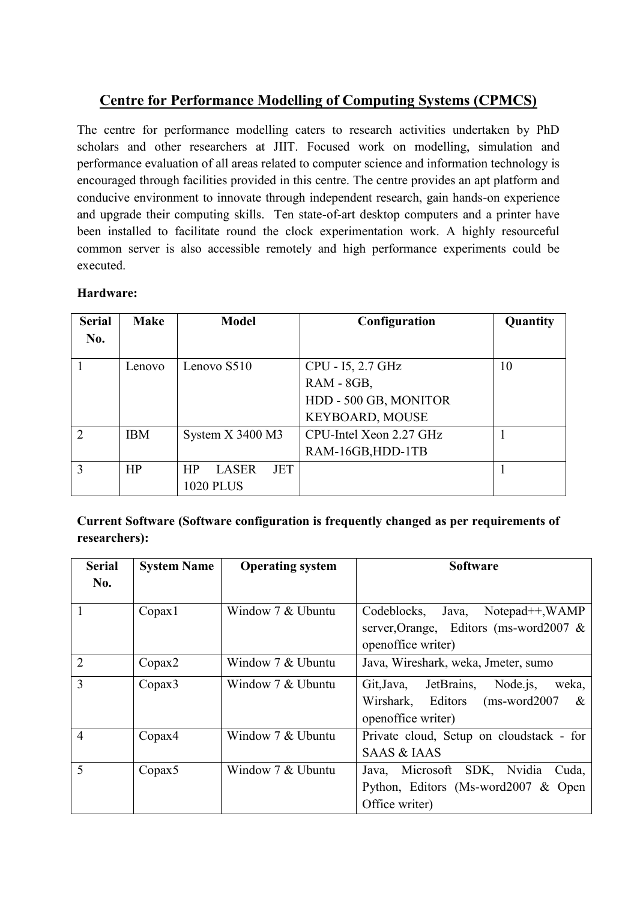## **Centre for Performance Modelling of Computing Systems (CPMCS)**

The centre for performance modelling caters to research activities undertaken by PhD scholars and other researchers at JIIT. Focused work on modelling, simulation and performance evaluation of all areas related to computer science and information technology is encouraged through facilities provided in this centre. The centre provides an apt platform and conducive environment to innovate through independent research, gain hands-on experience and upgrade their computing skills. Ten state-of-art desktop computers and a printer have been installed to facilitate round the clock experimentation work. A highly resourceful common server is also accessible remotely and high performance experiments could be executed.

## **Hardware:**

| <b>Serial</b>  | <b>Make</b> | <b>Model</b>                     | Configuration           | Quantity |
|----------------|-------------|----------------------------------|-------------------------|----------|
| No.            |             |                                  |                         |          |
|                | Lenovo      | Lenovo S510                      | CPU - 15, 2.7 GHz       | 10       |
|                |             |                                  | RAM - 8GB,              |          |
|                |             |                                  | HDD - 500 GB, MONITOR   |          |
|                |             |                                  | <b>KEYBOARD, MOUSE</b>  |          |
| $\overline{2}$ | <b>IBM</b>  | System $X$ 3400 M3               | CPU-Intel Xeon 2.27 GHz |          |
|                |             |                                  | RAM-16GB, HDD-1TB       |          |
| 3              | HP          | HP<br><b>LASER</b><br><b>JET</b> |                         |          |
|                |             | <b>1020 PLUS</b>                 |                         |          |

**Current Software (Software configuration is frequently changed as per requirements of researchers):**

| <b>Serial</b><br>No. | <b>System Name</b> | <b>Operating system</b> | <b>Software</b>                               |
|----------------------|--------------------|-------------------------|-----------------------------------------------|
|                      |                    |                         |                                               |
| 1                    | Copax1             | Window 7 & Ubuntu       | Codeblocks, Java,<br>$Notepad++, WAMP$        |
|                      |                    |                         | server, Orange, Editors (ms-word2007 &        |
|                      |                    |                         | openoffice writer)                            |
| $\overline{2}$       | Copax2             | Window 7 & Ubuntu       | Java, Wireshark, weka, Jmeter, sumo           |
| 3                    | Copax3             | Window 7 & Ubuntu       | JetBrains,<br>Node is,<br>Git, Java,<br>weka, |
|                      |                    |                         | Wirshark, Editors<br>$(ms-word2007)$<br>&     |
|                      |                    |                         | openoffice writer)                            |
| $\overline{4}$       | Copax4             | Window 7 & Ubuntu       | Private cloud, Setup on cloudstack - for      |
|                      |                    |                         | <b>SAAS &amp; IAAS</b>                        |
| 5                    | Copax <sub>5</sub> | Window 7 & Ubuntu       | Java, Microsoft SDK, Nvidia<br>Cuda,          |
|                      |                    |                         | Python, Editors (Ms-word 2007 $&$ Open        |
|                      |                    |                         | Office writer)                                |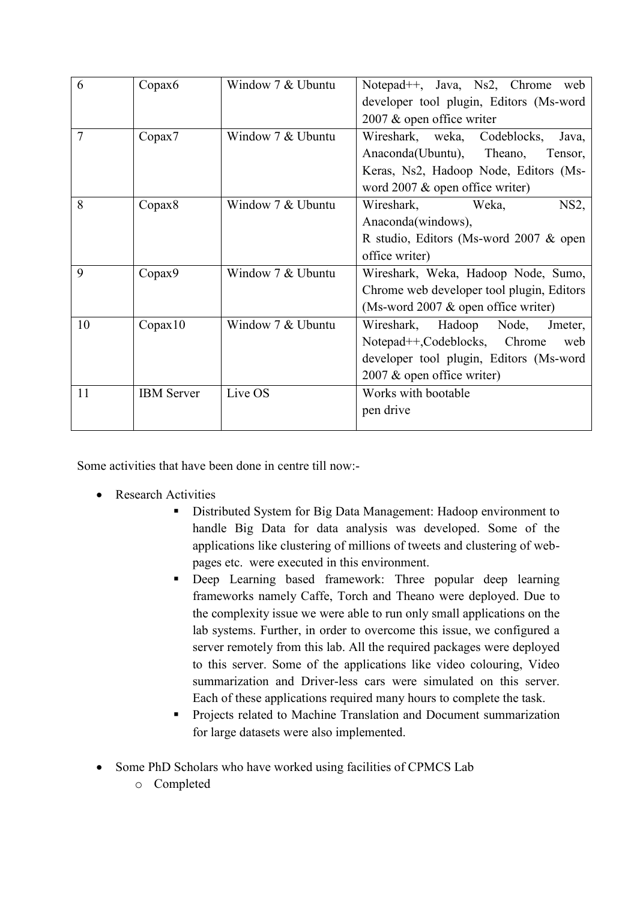| 6              | Copax <sub>6</sub> | Window 7 & Ubuntu | Notepad <sup>++</sup> , Java, Ns2, Chrome web    |
|----------------|--------------------|-------------------|--------------------------------------------------|
|                |                    |                   | developer tool plugin, Editors (Ms-word          |
|                |                    |                   | 2007 & open office writer                        |
| $\overline{7}$ | Copax7             | Window 7 & Ubuntu | Wireshark, weka, Codeblocks,<br>Java,            |
|                |                    |                   | Anaconda(Ubuntu), Theano,<br>Tensor,             |
|                |                    |                   | Keras, Ns2, Hadoop Node, Editors (Ms-            |
|                |                    |                   | word $2007 \&$ open office writer)               |
| 8              | Copax8             | Window 7 & Ubuntu | Wireshark, Weka,<br>$NS2$ ,                      |
|                |                    |                   | Anaconda(windows),                               |
|                |                    |                   | R studio, Editors (Ms-word 2007 & open           |
|                |                    |                   | office writer)                                   |
| 9              | Copax9             | Window 7 & Ubuntu | Wireshark, Weka, Hadoop Node, Sumo,              |
|                |                    |                   | Chrome web developer tool plugin, Editors        |
|                |                    |                   | (Ms-word 2007 $\&$ open office writer)           |
| 10             | Copax10            | Window 7 & Ubuntu | Wireshark, Hadoop Node,<br>Jmeter,               |
|                |                    |                   | Notepad <sup>++</sup> ,Codeblocks, Chrome<br>web |
|                |                    |                   | developer tool plugin, Editors (Ms-word          |
|                |                    |                   | 2007 & open office writer)                       |
| 11             | <b>IBM</b> Server  | Live OS           | Works with bootable                              |
|                |                    |                   | pen drive                                        |
|                |                    |                   |                                                  |

Some activities that have been done in centre till now:-

- Research Activities
	- Distributed System for Big Data Management: Hadoop environment to handle Big Data for data analysis was developed. Some of the applications like clustering of millions of tweets and clustering of webpages etc. were executed in this environment.
	- Deep Learning based framework: Three popular deep learning frameworks namely Caffe, Torch and Theano were deployed. Due to the complexity issue we were able to run only small applications on the lab systems. Further, in order to overcome this issue, we configured a server remotely from this lab. All the required packages were deployed to this server. Some of the applications like video colouring, Video summarization and Driver-less cars were simulated on this server. Each of these applications required many hours to complete the task.
	- **Projects related to Machine Translation and Document summarization** for large datasets were also implemented.
- Some PhD Scholars who have worked using facilities of CPMCS Lab
	- o Completed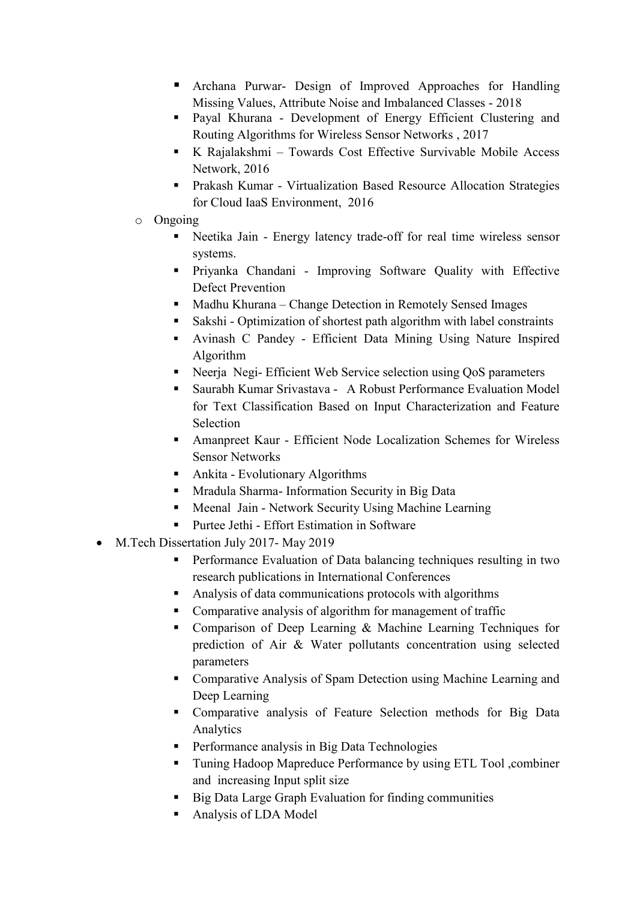- Archana Purwar- Design of Improved Approaches for Handling Missing Values, Attribute Noise and Imbalanced Classes - 2018
- Payal Khurana Development of Energy Efficient Clustering and Routing Algorithms for Wireless Sensor Networks , 2017
- K Rajalakshmi Towards Cost Effective Survivable Mobile Access Network, 2016
- Prakash Kumar Virtualization Based Resource Allocation Strategies for Cloud IaaS Environment, 2016
- o Ongoing
	- Neetika Jain Energy latency trade-off for real time wireless sensor systems.
	- Priyanka Chandani Improving Software Quality with Effective Defect Prevention
	- Madhu Khurana Change Detection in Remotely Sensed Images
	- Sakshi Optimization of shortest path algorithm with label constraints
	- Avinash C Pandey Efficient Data Mining Using Nature Inspired Algorithm
	- Neerja Negi- Efficient Web Service selection using QoS parameters
	- Saurabh Kumar Srivastava A Robust Performance Evaluation Model for Text Classification Based on Input Characterization and Feature **Selection**
	- Amanpreet Kaur Efficient Node Localization Schemes for Wireless Sensor Networks
	- Ankita Evolutionary Algorithms
	- **Mradula Sharma- Information Security in Big Data**
	- **Meenal Jain Network Security Using Machine Learning**
	- Purtee Jethi Effort Estimation in Software
- M.Tech Dissertation July 2017-May 2019
	- **Performance Evaluation of Data balancing techniques resulting in two** research publications in International Conferences
	- Analysis of data communications protocols with algorithms
	- Comparative analysis of algorithm for management of traffic
	- Comparison of Deep Learning & Machine Learning Techniques for prediction of Air & Water pollutants concentration using selected parameters
	- Comparative Analysis of Spam Detection using Machine Learning and Deep Learning
	- Comparative analysis of Feature Selection methods for Big Data Analytics
	- **Performance analysis in Big Data Technologies**
	- Tuning Hadoop Mapreduce Performance by using ETL Tool ,combiner and increasing Input split size
	- Big Data Large Graph Evaluation for finding communities
	- Analysis of LDA Model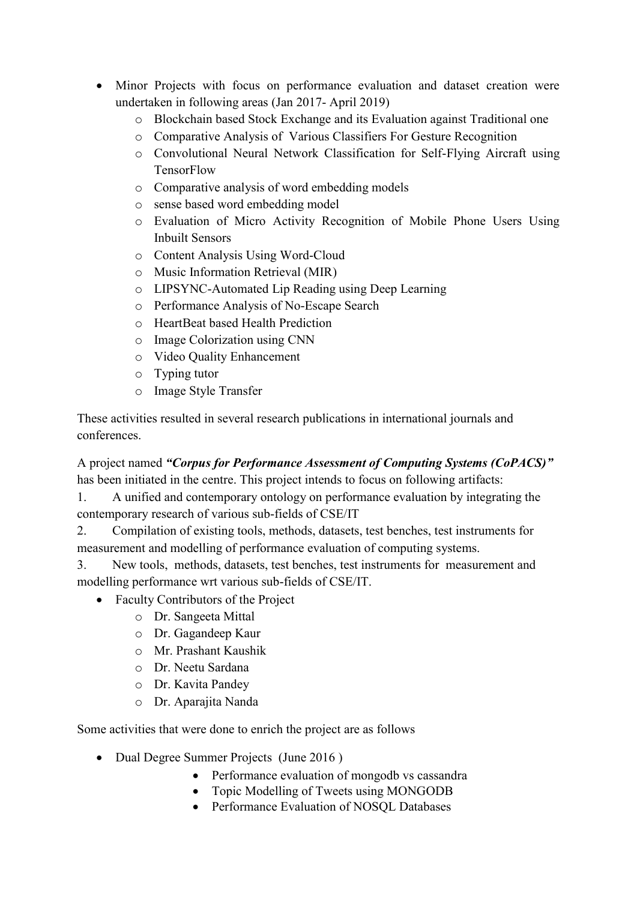- Minor Projects with focus on performance evaluation and dataset creation were undertaken in following areas (Jan 2017- April 2019)
	- o Blockchain based Stock Exchange and its Evaluation against Traditional one
	- o Comparative Analysis of Various Classifiers For Gesture Recognition
	- o Convolutional Neural Network Classification for Self-Flying Aircraft using **TensorFlow**
	- o Comparative analysis of word embedding models
	- o sense based word embedding model
	- o Evaluation of Micro Activity Recognition of Mobile Phone Users Using Inbuilt Sensors
	- o Content Analysis Using Word-Cloud
	- o Music Information Retrieval (MIR)
	- o LIPSYNC-Automated Lip Reading using Deep Learning
	- o Performance Analysis of No-Escape Search
	- o HeartBeat based Health Prediction
	- o Image Colorization using CNN
	- o Video Quality Enhancement
	- o Typing tutor
	- o Image Style Transfer

These activities resulted in several research publications in international journals and conferences.

A project named *"Corpus for Performance Assessment of Computing Systems (CoPACS)"* has been initiated in the centre. This project intends to focus on following artifacts:

1. A unified and contemporary ontology on performance evaluation by integrating the contemporary research of various sub-fields of CSE/IT

2. Compilation of existing tools, methods, datasets, test benches, test instruments for measurement and modelling of performance evaluation of computing systems.

3. New tools, methods, datasets, test benches, test instruments for measurement and modelling performance wrt various sub-fields of CSE/IT.

- Faculty Contributors of the Project
	- o Dr. Sangeeta Mittal
	- o Dr. Gagandeep Kaur
	- o Mr. Prashant Kaushik
	- o Dr. Neetu Sardana
	- o Dr. Kavita Pandey
	- o Dr. Aparajita Nanda

Some activities that were done to enrich the project are as follows

- Dual Degree Summer Projects (June 2016)
	- Performance evaluation of mongodb vs cassandra
	- Topic Modelling of Tweets using MONGODB
	- Performance Evaluation of NOSOL Databases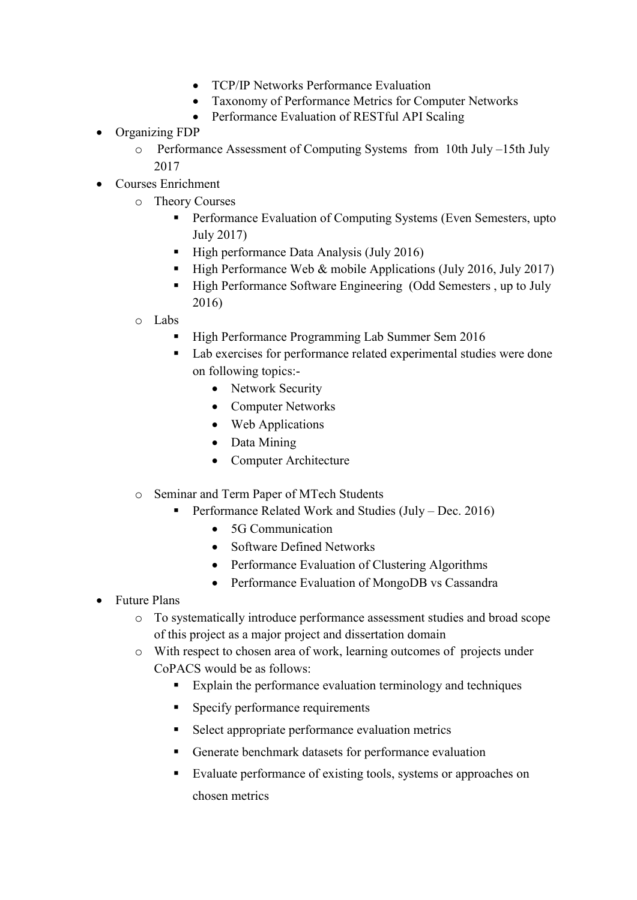- TCP/IP Networks Performance Evaluation
- Taxonomy of Performance Metrics for Computer Networks
- Performance Evaluation of RESTful API Scaling
- Organizing FDP
	- o Performance Assessment of Computing Systems from 10th July –15th July 2017
- Courses Enrichment
	- o Theory Courses
		- **Performance Evaluation of Computing Systems (Even Semesters, upto** July 2017)
		- High performance Data Analysis (July 2016)
		- $\blacksquare$  High Performance Web & mobile Applications (July 2016, July 2017)
		- High Performance Software Engineering (Odd Semesters, up to July 2016)
		- o Labs
			- High Performance Programming Lab Summer Sem 2016
			- Lab exercises for performance related experimental studies were done on following topics:-
				- Network Security
				- Computer Networks
				- Web Applications
				- Data Mining
				- Computer Architecture
		- o Seminar and Term Paper of MTech Students
			- **Performance Related Work and Studies (July Dec. 2016)** 
				- 5G Communication
				- Software Defined Networks
				- Performance Evaluation of Clustering Algorithms
				- Performance Evaluation of MongoDB vs Cassandra
- Future Plans
	- o To systematically introduce performance assessment studies and broad scope of this project as a major project and dissertation domain
	- o With respect to chosen area of work, learning outcomes of projects under CoPACS would be as follows:
		- Explain the performance evaluation terminology and techniques
		- Specify performance requirements
		- Select appropriate performance evaluation metrics
		- Generate benchmark datasets for performance evaluation
		- Evaluate performance of existing tools, systems or approaches on chosen metrics